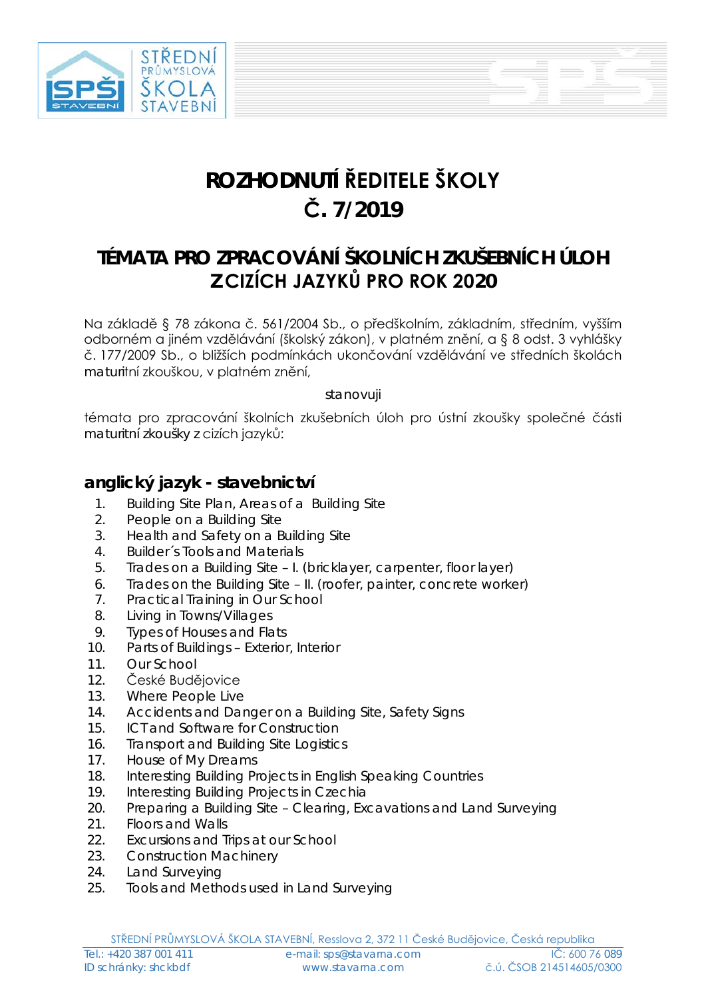

# **ROZHODNUTÍ ŘEDITELE ŠKOLY Č. 7/2019**

## **TÉMATA PRO ZPRACOVÁNÍ ŠKOLNÍCH ZKUŠEBNÍCH ÚLOH Z CIZÍCH JAZYKŮ PRO ROK 2020**

Na základě § 78 zákona č. 561/2004 Sb., o předškolním, základním, středním, vyšším odborném a jiném vzdělávání (školský zákon), v platném znění, a § 8 odst. 3 vyhlášky č. 177/2009 Sb., o bližších podmínkách ukončování vzdělávání ve středních školách maturitní zkouškou, v platném znění,

stanovuji

témata pro zpracování školních zkušebních úloh pro ústní zkoušky společné části maturitní zkoušky z cizích jazyků:

#### **anglický jazyk - stavebnictví**

- 1. Building Site Plan, Areas of a Building Site
- 2. People on a Building Site
- 3. Health and Safety on a Building Site
- 4. Builder´s Tools and Materials
- 5. Trades on a Building Site I. (bricklayer, carpenter, floor layer)
- 6. Trades on the Building Site II. (roofer, painter, concrete worker)
- 7. Practical Training in Our School
- 8. Living in Towns/Villages
- 9. Types of Houses and Flats
- 10. Parts of Buildings Exterior, Interior
- 11. Our School
- 12. České Budějovice
- 13. Where People Live
- 14. Accidents and Danger on a Building Site, Safety Signs
- 15. ICT and Software for Construction
- 16. Transport and Building Site Logistics
- 17. House of My Dreams
- 18. Interesting Building Projects in English Speaking Countries
- 19. Interesting Building Projects in Czechia
- 20. Preparing a Building Site Clearing, Excavations and Land Surveying
- 21. Floors and Walls
- 22. Excursions and Trips at our School
- 23. Construction Machinery
- 24. Land Surveying
- 25. Tools and Methods used in Land Surveying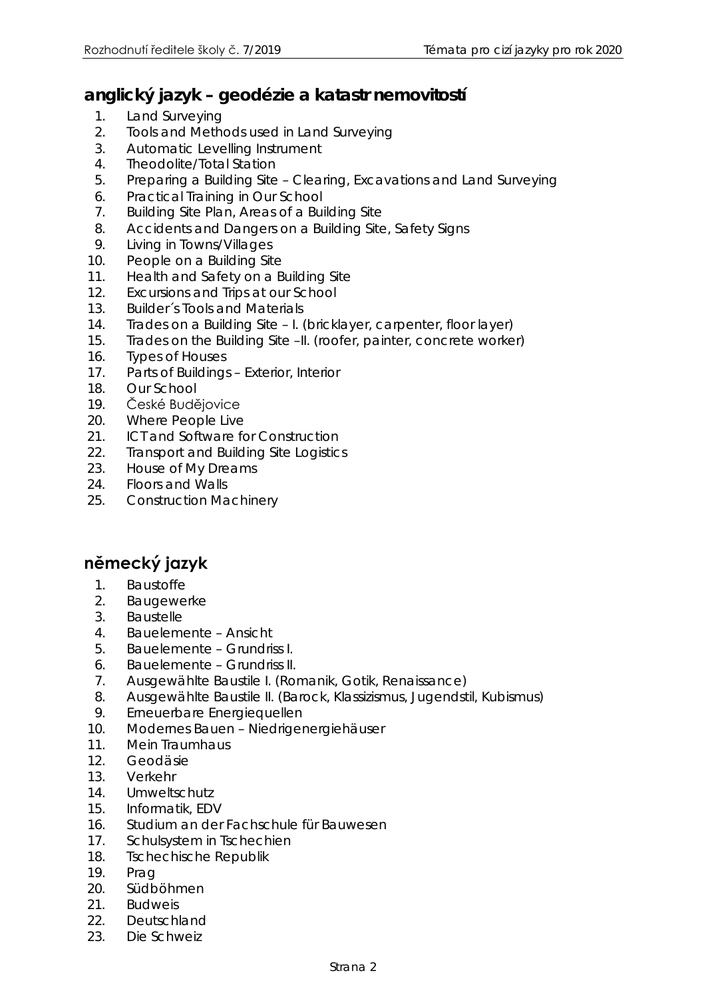#### **anglický jazyk – geodézie a katastr nemovitostí**

- 1. Land Surveying
- 2. Tools and Methods used in Land Surveying
- 3. Automatic Levelling Instrument
- 4. Theodolite/Total Station
- 5. Preparing a Building Site Clearing, Excavations and Land Surveying
- 6. Practical Training in Our School
- 7. Building Site Plan, Areas of a Building Site
- 8. Accidents and Dangers on a Building Site, Safety Signs
- 9. Living in Towns/Villages
- 10. People on a Building Site
- 11. Health and Safety on a Building Site
- 12. Excursions and Trips at our School
- 13. Builder´s Tools and Materials
- 14. Trades on a Building Site I. (bricklayer, carpenter, floor layer)
- 15. Trades on the Building Site –II. (roofer, painter, concrete worker)
- 16. Types of Houses
- 17. Parts of Buildings Exterior, Interior
- 18. Our School
- 19. České Budějovice
- 20. Where People Live
- 21. **ICT and Software for Construction**
- 22. Transport and Building Site Logistics
- 23. House of My Dreams
- 24. Floors and Walls
- 25. Construction Machinery

### **německý jazyk**

- 1. Baustoffe
- 2. Baugewerke
- 3. Baustelle
- 4. Bauelemente Ansicht
- 5. Bauelemente Grundriss I.
- 6. Bauelemente Grundriss II.
- 7. Ausgewählte Baustile I. (Romanik, Gotik, Renaissance)
- 8. Ausgewählte Baustile II. (Barock, Klassizismus, Jugendstil, Kubismus)
- 9. Erneuerbare Energiequellen
- 10. Modernes Bauen Niedrigenergiehäuser
- 11. Mein Traumhaus
- 12. Geodäsie
- 13. Verkehr
- 14. Umweltschutz
- 15. Informatik, EDV
- 16. Studium an der Fachschule für Bauwesen
- 17. Schulsystem in Tschechien
- 18. Tschechische Republik
- 19. Prag
- 20. Südböhmen
- 21 **Budweis**
- 22. Deutschland
- 23. Die Schweiz